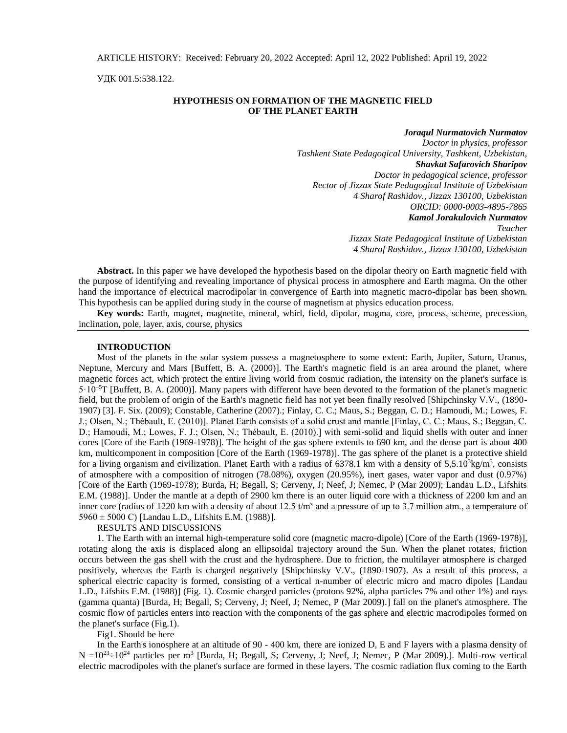УДК 001.5:538.122.

# **HYPOTHESIS ON FORMATION OF THE MAGNETIC FIELD OF THE PLANET EARTH**

*Joraqul Nurmatovich Nurmatov Doctor in physics, professor Tashkent State Pedagogical University, Tashkent, Uzbekistan, Shavkat Safarovich Sharipov Doctor in pedagogical science, professor Rector of Jizzax State Pedagogical Institute of Uzbekistan 4 Sharof Rashidov., Jizzax 130100, Uzbekistan ORCID: 0000-0003-4895-7865 Kamol Jorakulovich Nurmatov Teacher Jizzax State Pedagogical Institute of Uzbekistan 4 Sharof Rashidov., Jizzax 130100, Uzbekistan* 

**Abstract.** In this paper we have developed the hypothesis based on the dipolar theory on Earth magnetic field with the purpose of identifying and revealing importance of physical process in atmosphere and Earth magma. On the other hand the importance of electrical macrodipolar in convergence of Earth into magnetic macro-dipolar has been shown. This hypothesis can be applied during study in the course of magnetism at physics education process.

**Key words:** Earth, magnet, magnetite, mineral, whirl, field, dipolar, magma, core, process, scheme, precession, inclination, pole, layer, axis, course, physics

# **INTRODUCTION**

Most of the planets in the solar system possess a magnetosphere to some extent: Earth, Jupiter, Saturn, Uranus, Neptune, Mercury and Mars [Buffett, B. A. (2000)]. The Earth's magnetic field is an area around the planet, where magnetic forces act, which protect the entire living world from cosmic radiation, the intensity on the planet's surface is  $5 \cdot 10^{-5}$ T [Buffett, B. A. (2000)]. Many papers with different have been devoted to the formation of the planet's magnetic field, but the problem of origin of the Earth's magnetic field has not yet been finally resolved [Shipchinsky V.V., (1890- 1907) [3]. F. Six. (2009); Constable, Catherine (2007).; Finlay, C. C.; Maus, S.; Beggan, C. D.; Hamoudi, M.; Lowes, F. J.; Olsen, N.; Thébault, E. (2010)]. Planet Earth consists of a solid crust and mantle [Finlay, C. C.; Maus, S.; Beggan, C. D.; Hamoudi, M.; Lowes, F. J.; Olsen, N.; Thébault, E. (2010).] with semi-solid and liquid shells with outer and inner cores [Core of the Earth (1969-1978)]. The height of the gas sphere extends to 690 km, and the dense part is about 400 km, multicomponent in composition [Core of the Earth (1969-1978)]. The gas sphere of the planet is a protective shield for a living organism and civilization. Planet Earth with a radius of  $6378.1$  km with a density of  $5,5.10^3$ kg/m<sup>3</sup>, consists of atmosphere with a composition of nitrogen (78.08%), oxygen (20.95%), inert gases, water vapor and dust (0.97%) [Core of the Earth (1969-1978); Burda, H; Begall, S; Cerveny, J; Neef, J; Nemec, P (Mar 2009); Landau L.D., Lifshits E.M. (1988)]. Under the mantle at a depth of 2900 km there is an outer liquid core with a thickness of 2200 km and an inner core (radius of 1220 km with a density of about 12.5  $t/m<sup>3</sup>$  and a pressure of up to 3.7 million atm., a temperature of 5960 ± 5000 C) [Landau L.D., Lifshits E.M. (1988)].

#### RESULTS AND DISCUSSIONS

1. The Earth with an internal high-temperature solid core (magnetic macro-dipole) [Core of the Earth (1969-1978)], rotating along the axis is displaced along an ellipsoidal trajectory around the Sun. When the planet rotates, friction occurs between the gas shell with the crust and the hydrosphere. Due to friction, the multilayer atmosphere is charged positively, whereas the Earth is charged negatively [Shipchinsky V.V., (1890-1907). As a result of this process, a spherical electric capacity is formed, consisting of a vertical n-number of electric micro and macro dipoles [Landau L.D., Lifshits E.M. (1988)] (Fig. 1). Cosmic charged particles (protons 92%, alpha particles 7% and other 1%) and rays (gamma quanta) [Burda, H; Begall, S; Cerveny, J; Neef, J; Nemec, P (Mar 2009).] fall on the planet's atmosphere. The cosmic flow of particles enters into reaction with the components of the gas sphere and electric macrodipoles formed on the planet's surface (Fig.1).

Fig1. Should be here

In the Earth's ionosphere at an altitude of 90 - 400 km, there are ionized D, E and F layers with a plasma density of  $N = 10^{23} \div 10^{24}$  particles per m<sup>3</sup> [Burda, H; Begall, S; Cerveny, J; Neef, J; Nemec, P (Mar 2009).]. Multi-row vertical electric macrodipoles with the planet's surface are formed in these layers. The cosmic radiation flux coming to the Earth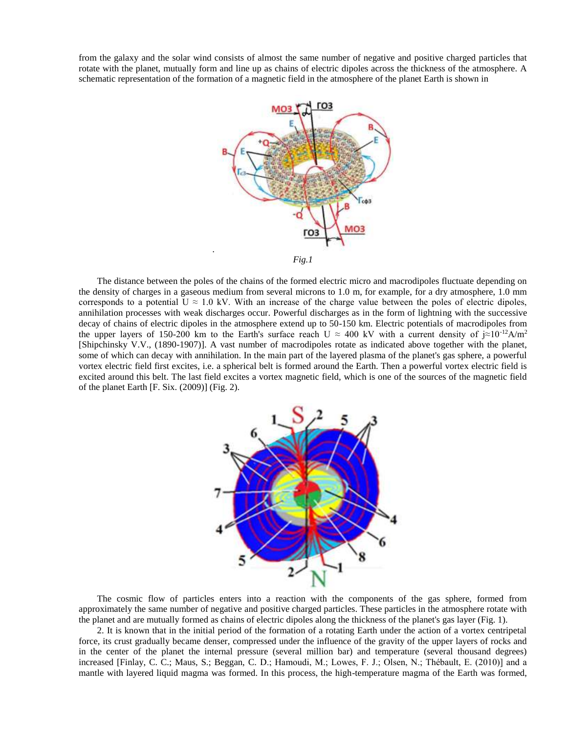from the galaxy and the solar wind consists of almost the same number of negative and positive charged particles that rotate with the planet, mutually form and line up as chains of electric dipoles across the thickness of the atmosphere. A schematic representation of the formation of a magnetic field in the atmosphere of the planet Earth is shown in



The distance between the poles of the chains of the formed electric micro and macrodipoles fluctuate depending on the density of charges in a gaseous medium from several microns to 1.0 m, for example, for a dry atmosphere, 1.0 mm corresponds to a potential  $U \approx 1.0$  kV. With an increase of the charge value between the poles of electric dipoles, annihilation processes with weak discharges occur. Powerful discharges as in the form of lightning with the successive decay of chains of electric dipoles in the atmosphere extend up to 50-150 km. Electric potentials of macrodipoles from the upper layers of 150-200 km to the Earth's surface reach U  $\approx$  400 kV with a current density of  $\approx 10^{-12} A/m^2$ [Shipchinsky V.V., (1890-1907)]. A vast number of macrodipoles rotate as indicated above together with the planet, some of which can decay with annihilation. In the main part of the layered plasma of the planet's gas sphere, a powerful vortex electric field first excites, i.e. a spherical belt is formed around the Earth. Then a powerful vortex electric field is excited around this belt. The last field excites a vortex magnetic field, which is one of the sources of the magnetic field of the planet Earth [F. Six. (2009)] (Fig. 2).



The cosmic flow of particles enters into a reaction with the components of the gas sphere, formed from approximately the same number of negative and positive charged particles. These particles in the atmosphere rotate with the planet and are mutually formed as chains of electric dipoles along the thickness of the planet's gas layer (Fig. 1).

2. It is known that in the initial period of the formation of a rotating Earth under the action of a vortex centripetal force, its crust gradually became denser, compressed under the influence of the gravity of the upper layers of rocks and in the center of the planet the internal pressure (several million bar) and temperature (several thousand degrees) increased [Finlay, C. C.; Maus, S.; Beggan, C. D.; Hamoudi, M.; Lowes, F. J.; Olsen, N.; Thébault, E. (2010)] and a mantle with layered liquid magma was formed. In this process, the high-temperature magma of the Earth was formed,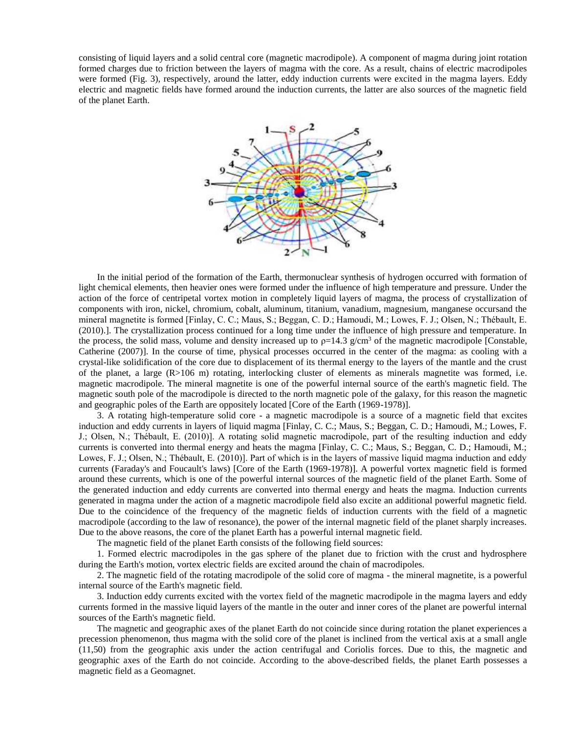consisting of liquid layers and a solid central core (magnetic macrodipole). A component of magma during joint rotation formed charges due to friction between the layers of magma with the core. As a result, chains of electric macrodipoles were formed (Fig. 3), respectively, around the latter, eddy induction currents were excited in the magma layers. Eddy electric and magnetic fields have formed around the induction currents, the latter are also sources of the magnetic field of the planet Earth.



In the initial period of the formation of the Earth, thermonuclear synthesis of hydrogen occurred with formation of light chemical elements, then heavier ones were formed under the influence of high temperature and pressure. Under the action of the force of centripetal vortex motion in completely liquid layers of magma, the process of crystallization of components with iron, nickel, chromium, cobalt, aluminum, titanium, vanadium, magnesium, manganese occursand the mineral magnetite is formed [Finlay, C. C.; Maus, S.; Beggan, C. D.; Hamoudi, M.; Lowes, F. J.; Olsen, N.; Thébault, E. (2010).]. The crystallization process continued for a long time under the influence of high pressure and temperature. In the process, the solid mass, volume and density increased up to  $p=14.3$  g/cm<sup>3</sup> of the magnetic macrodipole [Constable, Catherine (2007)]. In the course of time, physical processes occurred in the center of the magma: as cooling with a crystal-like solidification of the core due to displacement of its thermal energy to the layers of the mantle and the crust of the planet, a large (R>106 m) rotating, interlocking cluster of elements as minerals magnetite was formed, i.e. magnetic macrodipole. The mineral magnetite is one of the powerful internal source of the earth's magnetic field. The magnetic south pole of the macrodipole is directed to the north magnetic pole of the galaxy, for this reason the magnetic and geographic poles of the Earth are oppositely located [Core of the Earth (1969-1978)].

3. A rotating high-temperature solid core - a magnetic macrodipole is a source of a magnetic field that excites induction and eddy currents in layers of liquid magma [Finlay, C. C.; Maus, S.; Beggan, C. D.; Hamoudi, M.; Lowes, F. J.; Olsen, N.; Thébault, E. (2010)]. A rotating solid magnetic macrodipole, part of the resulting induction and eddy currents is converted into thermal energy and heats the magma [Finlay, C. C.; Maus, S.; Beggan, C. D.; Hamoudi, M.; Lowes, F. J.; Olsen, N.; Thébault, E. (2010)]. Part of which is in the layers of massive liquid magma induction and eddy currents (Faraday's and Foucault's laws) [Core of the Earth (1969-1978)]. A powerful vortex magnetic field is formed around these currents, which is one of the powerful internal sources of the magnetic field of the planet Earth. Some of the generated induction and eddy currents are converted into thermal energy and heats the magma. Induction currents generated in magma under the action of a magnetic macrodipole field also excite an additional powerful magnetic field. Due to the coincidence of the frequency of the magnetic fields of induction currents with the field of a magnetic macrodipole (according to the law of resonance), the power of the internal magnetic field of the planet sharply increases. Due to the above reasons, the core of the planet Earth has a powerful internal magnetic field.

The magnetic field of the planet Earth consists of the following field sources:

1. Formed electric macrodipoles in the gas sphere of the planet due to friction with the crust and hydrosphere during the Earth's motion, vortex electric fields are excited around the chain of macrodipoles.

2. The magnetic field of the rotating macrodipole of the solid core of magma - the mineral magnetite, is a powerful internal source of the Earth's magnetic field.

3. Induction eddy currents excited with the vortex field of the magnetic macrodipole in the magma layers and eddy currents formed in the massive liquid layers of the mantle in the outer and inner cores of the planet are powerful internal sources of the Earth's magnetic field.

The magnetic and geographic axes of the planet Earth do not coincide since during rotation the planet experiences a precession phenomenon, thus magma with the solid core of the planet is inclined from the vertical axis at a small angle (11,50) from the geographic axis under the action centrifugal and Coriolis forces. Due to this, the magnetic and geographic axes of the Earth do not coincide. According to the above-described fields, the planet Earth possesses a magnetic field as a Geomagnet.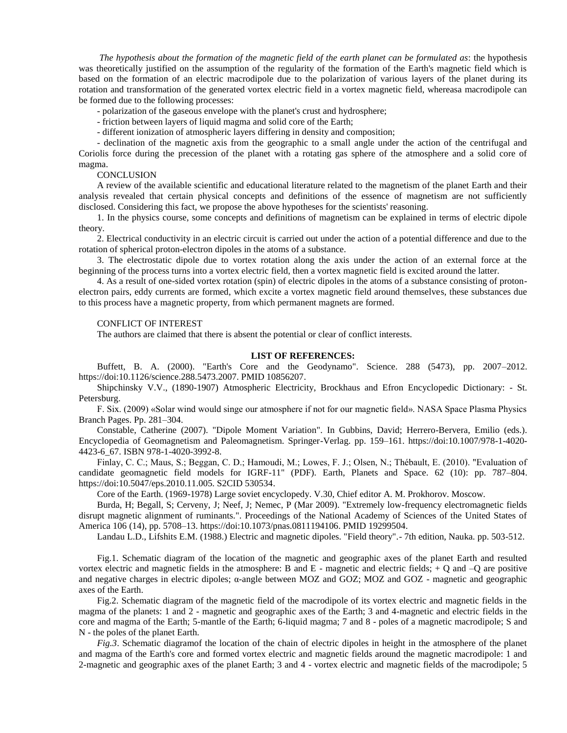*The hypothesis about the formation of the magnetic field of the earth planet can be formulated as*: the hypothesis was theoretically justified on the assumption of the regularity of the formation of the Earth's magnetic field which is based on the formation of an electric macrodipole due to the polarization of various layers of the planet during its rotation and transformation of the generated vortex electric field in a vortex magnetic field, whereasa macrodipole can be formed due to the following processes:

- polarization of the gaseous envelope with the planet's crust and hydrosphere;

- friction between layers of liquid magma and solid core of the Earth;

- different ionization of atmospheric layers differing in density and composition;

- declination of the magnetic axis from the geographic to a small angle under the action of the centrifugal and Coriolis force during the precession of the planet with a rotating gas sphere of the atmosphere and a solid core of magma.

#### **CONCLUSION**

A review of the available scientific and educational literature related to the magnetism of the planet Earth and their analysis revealed that certain physical concepts and definitions of the essence of magnetism are not sufficiently disclosed. Considering this fact, we propose the above hypotheses for the scientists' reasoning.

1. In the physics course, some concepts and definitions of magnetism can be explained in terms of electric dipole theory.

2. Electrical conductivity in an electric circuit is carried out under the action of a potential difference and due to the rotation of spherical proton-electron dipoles in the atoms of a substance.

3. The electrostatic dipole due to vortex rotation along the axis under the action of an external force at the beginning of the process turns into a vortex electric field, then a vortex magnetic field is excited around the latter.

4. As a result of one-sided vortex rotation (spin) of electric dipoles in the atoms of a substance consisting of protonelectron pairs, eddy currents are formed, which excite a vortex magnetic field around themselves, these substances due to this process have a magnetic property, from which permanent magnets are formed.

### CONFLICT OF INTEREST

The authors are claimed that there is absent the potential or clear of conflict interests.

### **LIST OF REFERENCES:**

Buffett, B. A. (2000). "Earth's Core and the Geodynamo". Science. 288 (5473), pp. 2007–2012. [https://doi:10.1126/science.288.5473.2007. PMID 10856207.](https://doi:10.1126/science.288.5473.2007.%20PMID%2010856207)

Shipchinsky V.V., (1890-1907) Atmospheric Electricity, Brockhaus and Efron Encyclopedic Dictionary: - St. Petersburg.

F. Six. (2009) «Solar wind would singe our atmosphere if not for our magnetic field». NASA Space Plasma Physics Branch Pages. Pp. 281–304.

Constable, Catherine (2007). "Dipole Moment Variation". In Gubbins, David; Herrero-Bervera, Emilio (eds.). Encyclopedia of Geomagnetism and Paleomagnetism. Springer-Verlag. pp. 159–161. [https://doi:10.1007/978-1-4020-](https://doi:10.1007/978-1-4020-4423-6_67.%20ISBN%20978-1-4020-3992-8) [4423-6\\_67. ISBN 978-1-4020-3992-8.](https://doi:10.1007/978-1-4020-4423-6_67.%20ISBN%20978-1-4020-3992-8)

Finlay, C. C.; Maus, S.; Beggan, C. D.; Hamoudi, M.; Lowes, F. J.; Olsen, N.; Thébault, E. (2010). "Evaluation of candidate geomagnetic field models for IGRF-11" (PDF). Earth, Planets and Space. 62 (10): pp. 787–804. [https://doi:10.5047/eps.2010.11.005. S2CID 530534.](https://doi:10.5047/eps.2010.11.005.%20S2CID%20530534)

Core of the Earth. (1969-1978) Large soviet encyclopedy. V.30, Chief editor A. M. Prokhorov. Moscow.

Burda, H; Begall, S; Cerveny, J; Neef, J; Nemec, P (Mar 2009). "Extremely low-frequency electromagnetic fields disrupt magnetic alignment of ruminants.". Proceedings of the National Academy of Sciences of the United States of America 106 (14), pp. 5708–13. [https://doi:10.1073/pnas.0811194106. PMID 19299504.](https://doi:10.1073/pnas.0811194106.%20PMID%2019299504)

Landau L.D., Lifshits E.M. (1988.) Electric and magnetic dipoles. "Field theory".- 7th edition, Nauka. pp. 503-512.

Fig.1. Schematic diagram of the location of the magnetic and geographic axes of the planet Earth and resulted vortex electric and magnetic fields in the atmosphere: B and  $E$  - magnetic and electric fields;  $+ Q$  and  $-Q$  are positive and negative charges in electric dipoles; α-angle between MOZ and GOZ; MOZ and GOZ - magnetic and geographic axes of the Earth.

Fig.2. Schematic diagram of the magnetic field of the macrodipole of its vortex electric and magnetic fields in the magma of the planets: 1 and 2 - magnetic and geographic axes of the Earth; 3 and 4-magnetic and electric fields in the core and magma of the Earth; 5-mantle of the Earth; 6-liquid magma; 7 and 8 - poles of a magnetic macrodipole; S and N - the poles of the planet Earth.

*Fig.3*. Schematic diagramof the location of the chain of electric dipoles in height in the atmosphere of the planet and magma of the Earth's core and formed vortex electric and magnetic fields around the magnetic macrodipole: 1 and 2-magnetic and geographic axes of the planet Earth; 3 and 4 - vortex electric and magnetic fields of the macrodipole; 5